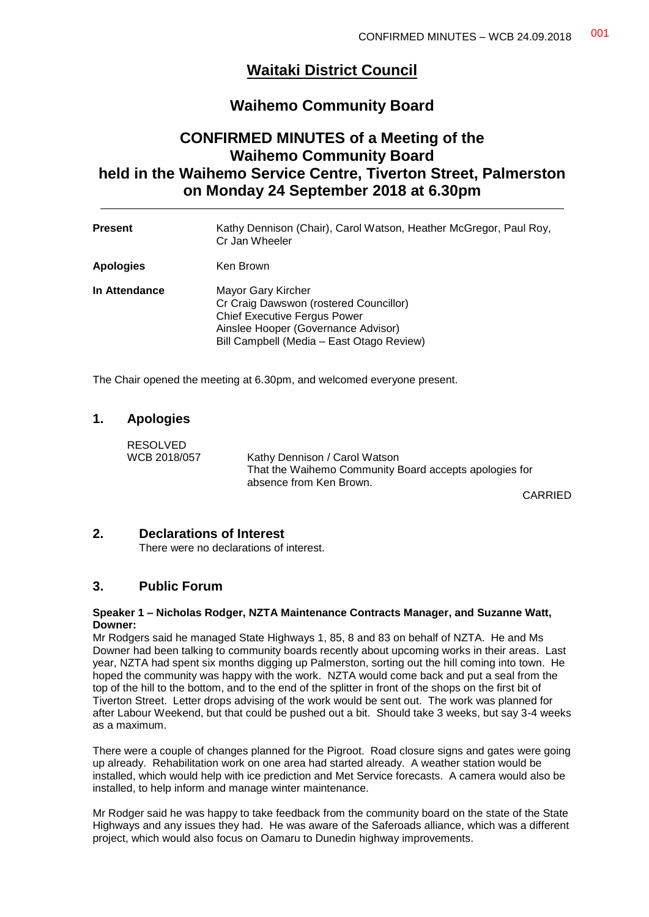# **Waitaki District Council**

# **Waihemo Community Board**

# **CONFIRMED MINUTES of a Meeting of the Waihemo Community Board held in the Waihemo Service Centre, Tiverton Street, Palmerston on Monday 24 September 2018 at 6.30pm**

| <b>Present</b>   | Kathy Dennison (Chair), Carol Watson, Heather McGregor, Paul Roy,<br>Cr Jan Wheeler                                                                                                     |
|------------------|-----------------------------------------------------------------------------------------------------------------------------------------------------------------------------------------|
| <b>Apologies</b> | Ken Brown                                                                                                                                                                               |
| In Attendance    | Mayor Gary Kircher<br>Cr Craig Dawswon (rostered Councillor)<br><b>Chief Executive Fergus Power</b><br>Ainslee Hooper (Governance Advisor)<br>Bill Campbell (Media - East Otago Review) |

The Chair opened the meeting at 6.30pm, and welcomed everyone present.

### **1. Apologies**

RESOLVED

WCB 2018/057 Kathy Dennison / Carol Watson That the Waihemo Community Board accepts apologies for absence from Ken Brown.

CARRIED

# **2. Declarations of Interest**

There were no declarations of interest.

# **3. Public Forum**

#### **Speaker 1 – Nicholas Rodger, NZTA Maintenance Contracts Manager, and Suzanne Watt, Downer:**

Mr Rodgers said he managed State Highways 1, 85, 8 and 83 on behalf of NZTA. He and Ms Downer had been talking to community boards recently about upcoming works in their areas. Last year, NZTA had spent six months digging up Palmerston, sorting out the hill coming into town. He hoped the community was happy with the work. NZTA would come back and put a seal from the top of the hill to the bottom, and to the end of the splitter in front of the shops on the first bit of Tiverton Street. Letter drops advising of the work would be sent out. The work was planned for after Labour Weekend, but that could be pushed out a bit. Should take 3 weeks, but say 3-4 weeks as a maximum.

There were a couple of changes planned for the Pigroot. Road closure signs and gates were going up already. Rehabilitation work on one area had started already. A weather station would be installed, which would help with ice prediction and Met Service forecasts. A camera would also be installed, to help inform and manage winter maintenance.

Mr Rodger said he was happy to take feedback from the community board on the state of the State Highways and any issues they had. He was aware of the Saferoads alliance, which was a different project, which would also focus on Oamaru to Dunedin highway improvements.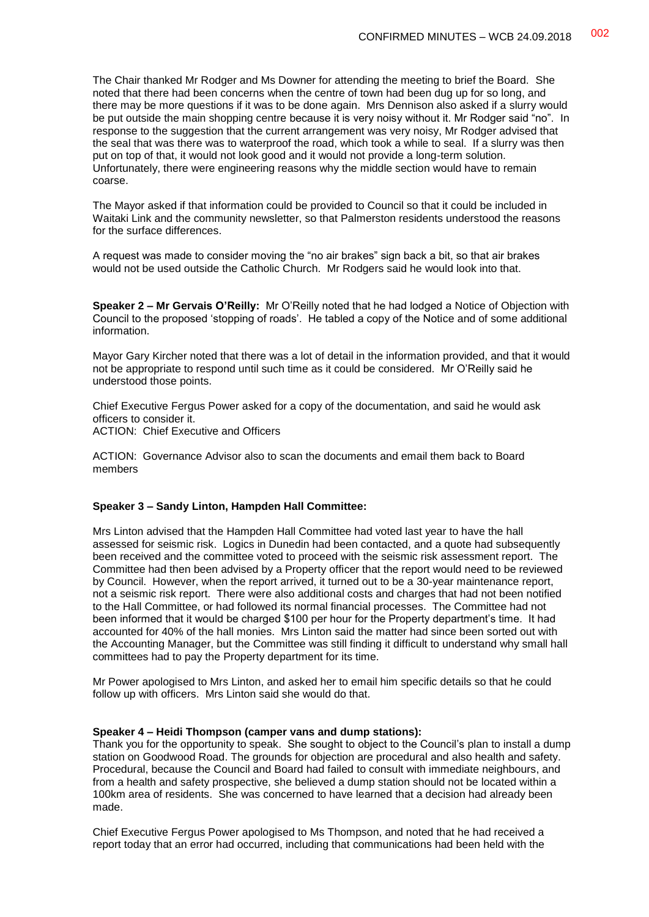The Chair thanked Mr Rodger and Ms Downer for attending the meeting to brief the Board. She noted that there had been concerns when the centre of town had been dug up for so long, and there may be more questions if it was to be done again. Mrs Dennison also asked if a slurry would be put outside the main shopping centre because it is very noisy without it. Mr Rodger said "no". In response to the suggestion that the current arrangement was very noisy, Mr Rodger advised that the seal that was there was to waterproof the road, which took a while to seal. If a slurry was then put on top of that, it would not look good and it would not provide a long-term solution. Unfortunately, there were engineering reasons why the middle section would have to remain coarse.

The Mayor asked if that information could be provided to Council so that it could be included in Waitaki Link and the community newsletter, so that Palmerston residents understood the reasons for the surface differences.

A request was made to consider moving the "no air brakes" sign back a bit, so that air brakes would not be used outside the Catholic Church. Mr Rodgers said he would look into that.

**Speaker 2 – Mr Gervais O'Reilly:** Mr O'Reilly noted that he had lodged a Notice of Objection with Council to the proposed 'stopping of roads'. He tabled a copy of the Notice and of some additional information.

Mayor Gary Kircher noted that there was a lot of detail in the information provided, and that it would not be appropriate to respond until such time as it could be considered. Mr O'Reilly said he understood those points.

Chief Executive Fergus Power asked for a copy of the documentation, and said he would ask officers to consider it. ACTION: Chief Executive and Officers

ACTION: Governance Advisor also to scan the documents and email them back to Board members

#### **Speaker 3 – Sandy Linton, Hampden Hall Committee:**

Mrs Linton advised that the Hampden Hall Committee had voted last year to have the hall assessed for seismic risk. Logics in Dunedin had been contacted, and a quote had subsequently been received and the committee voted to proceed with the seismic risk assessment report. The Committee had then been advised by a Property officer that the report would need to be reviewed by Council. However, when the report arrived, it turned out to be a 30-year maintenance report, not a seismic risk report. There were also additional costs and charges that had not been notified to the Hall Committee, or had followed its normal financial processes. The Committee had not been informed that it would be charged \$100 per hour for the Property department's time. It had accounted for 40% of the hall monies. Mrs Linton said the matter had since been sorted out with the Accounting Manager, but the Committee was still finding it difficult to understand why small hall committees had to pay the Property department for its time.

Mr Power apologised to Mrs Linton, and asked her to email him specific details so that he could follow up with officers. Mrs Linton said she would do that.

### **Speaker 4 – Heidi Thompson (camper vans and dump stations):**

Thank you for the opportunity to speak. She sought to object to the Council's plan to install a dump station on Goodwood Road. The grounds for objection are procedural and also health and safety. Procedural, because the Council and Board had failed to consult with immediate neighbours, and from a health and safety prospective, she believed a dump station should not be located within a 100km area of residents. She was concerned to have learned that a decision had already been made.

Chief Executive Fergus Power apologised to Ms Thompson, and noted that he had received a report today that an error had occurred, including that communications had been held with the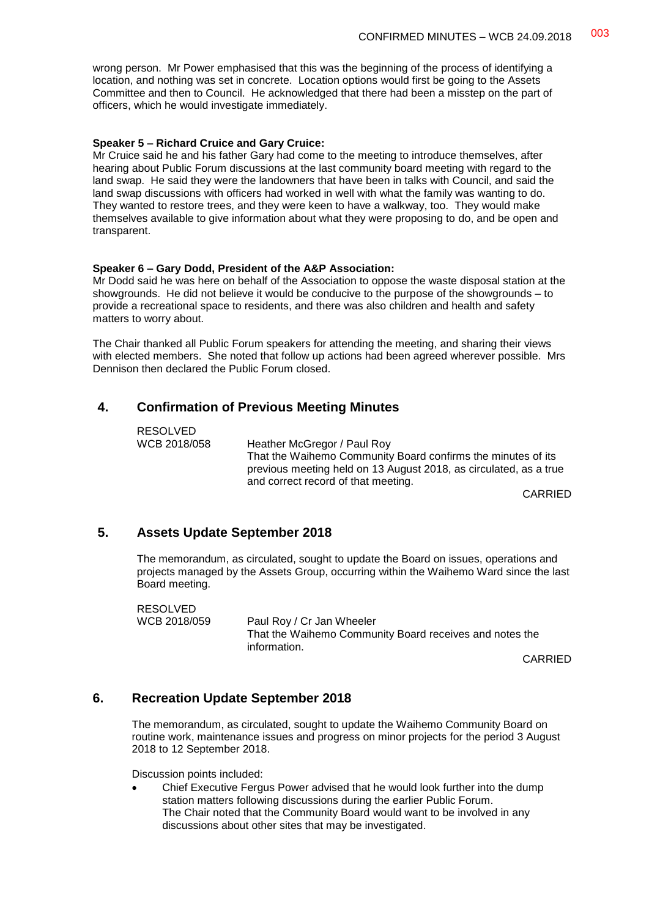wrong person. Mr Power emphasised that this was the beginning of the process of identifying a location, and nothing was set in concrete. Location options would first be going to the Assets Committee and then to Council. He acknowledged that there had been a misstep on the part of officers, which he would investigate immediately.

#### **Speaker 5 – Richard Cruice and Gary Cruice:**

Mr Cruice said he and his father Gary had come to the meeting to introduce themselves, after hearing about Public Forum discussions at the last community board meeting with regard to the land swap. He said they were the landowners that have been in talks with Council, and said the land swap discussions with officers had worked in well with what the family was wanting to do. They wanted to restore trees, and they were keen to have a walkway, too. They would make themselves available to give information about what they were proposing to do, and be open and transparent.

#### **Speaker 6 – Gary Dodd, President of the A&P Association:**

Mr Dodd said he was here on behalf of the Association to oppose the waste disposal station at the showgrounds. He did not believe it would be conducive to the purpose of the showgrounds – to provide a recreational space to residents, and there was also children and health and safety matters to worry about.

The Chair thanked all Public Forum speakers for attending the meeting, and sharing their views with elected members. She noted that follow up actions had been agreed wherever possible. Mrs Dennison then declared the Public Forum closed.

#### **4. Confirmation of Previous Meeting Minutes**

RESOLVED

WCB 2018/058 Heather McGregor / Paul Roy That the Waihemo Community Board confirms the minutes of its previous meeting held on 13 August 2018, as circulated, as a true and correct record of that meeting.

CARRIED

### **5. Assets Update September 2018**

The memorandum, as circulated, sought to update the Board on issues, operations and projects managed by the Assets Group, occurring within the Waihemo Ward since the last Board meeting.

RESOLVED WCB 2018/059 Paul Roy / Cr Jan Wheeler That the Waihemo Community Board receives and notes the information.

CARRIED

### **6. Recreation Update September 2018**

The memorandum, as circulated, sought to update the Waihemo Community Board on routine work, maintenance issues and progress on minor projects for the period 3 August 2018 to 12 September 2018.

Discussion points included:

 Chief Executive Fergus Power advised that he would look further into the dump station matters following discussions during the earlier Public Forum. The Chair noted that the Community Board would want to be involved in any discussions about other sites that may be investigated.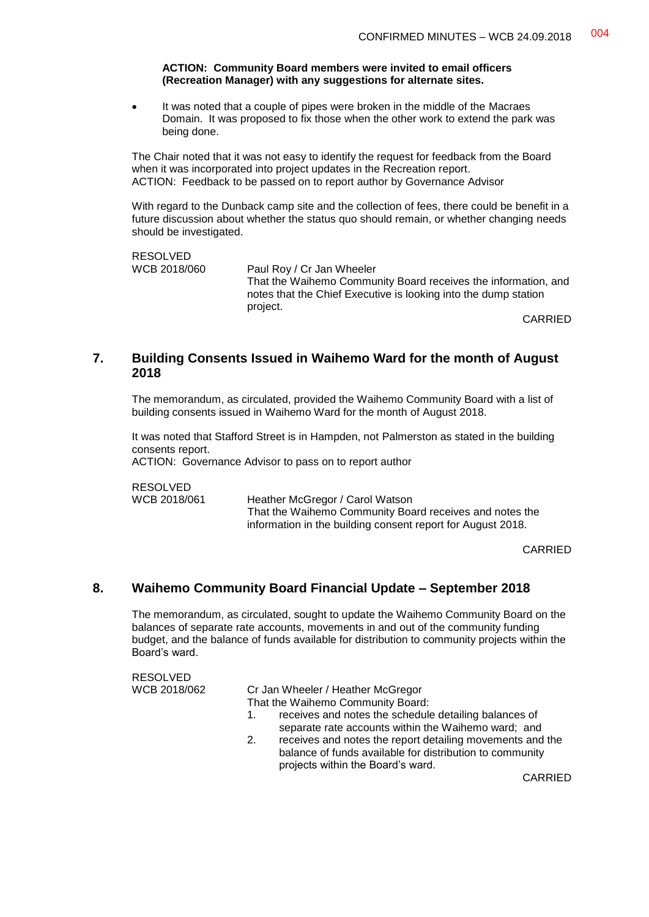**ACTION: Community Board members were invited to email officers (Recreation Manager) with any suggestions for alternate sites.**

 It was noted that a couple of pipes were broken in the middle of the Macraes Domain. It was proposed to fix those when the other work to extend the park was being done.

The Chair noted that it was not easy to identify the request for feedback from the Board when it was incorporated into project updates in the Recreation report. ACTION: Feedback to be passed on to report author by Governance Advisor

With regard to the Dunback camp site and the collection of fees, there could be benefit in a future discussion about whether the status quo should remain, or whether changing needs should be investigated.

RESOLVED<br>WCB 2018/060 Paul Roy / Cr Jan Wheeler That the Waihemo Community Board receives the information, and notes that the Chief Executive is looking into the dump station project.

CARRIED

### **7. Building Consents Issued in Waihemo Ward for the month of August 2018**

The memorandum, as circulated, provided the Waihemo Community Board with a list of building consents issued in Waihemo Ward for the month of August 2018.

It was noted that Stafford Street is in Hampden, not Palmerston as stated in the building consents report.

ACTION: Governance Advisor to pass on to report author

RESOLVED<br>WCB 2018/061

Heather McGregor / Carol Watson That the Waihemo Community Board receives and notes the information in the building consent report for August 2018.

CARRIED

#### **8. Waihemo Community Board Financial Update – September 2018**

The memorandum, as circulated, sought to update the Waihemo Community Board on the balances of separate rate accounts, movements in and out of the community funding budget, and the balance of funds available for distribution to community projects within the Board's ward.

| RESOLVED     |                                                                                               |
|--------------|-----------------------------------------------------------------------------------------------|
| WCB 2018/062 | Cr Jan Wheeler / Heather McGregor                                                             |
|              | That the Waihemo Community Board:                                                             |
|              | receives and notes the schedule detailing balances of<br>$1_{-}$                              |
|              | separate rate accounts within the Waihemo ward; and                                           |
|              | receives and notes the report detailing movements and the<br>2.                               |
|              | balance of funds available for distribution to community<br>projects within the Board's ward. |

CARRIED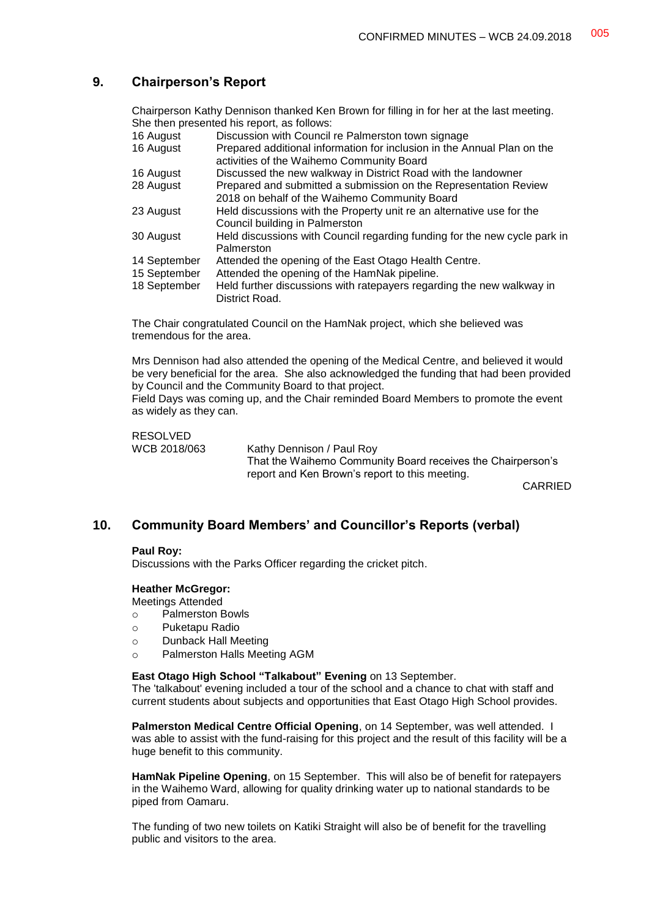## **9. Chairperson's Report**

Chairperson Kathy Dennison thanked Ken Brown for filling in for her at the last meeting. She then presented his report, as follows:

| 16 August    | Discussion with Council re Palmerston town signage                        |
|--------------|---------------------------------------------------------------------------|
| 16 August    | Prepared additional information for inclusion in the Annual Plan on the   |
|              | activities of the Waihemo Community Board                                 |
| 16 August    | Discussed the new walkway in District Road with the landowner             |
| 28 August    | Prepared and submitted a submission on the Representation Review          |
|              | 2018 on behalf of the Waihemo Community Board                             |
| 23 August    | Held discussions with the Property unit re an alternative use for the     |
|              | Council building in Palmerston                                            |
| 30 August    | Held discussions with Council regarding funding for the new cycle park in |
|              | Palmerston                                                                |
| 14 September | Attended the opening of the East Otago Health Centre.                     |
| 15 September | Attended the opening of the HamNak pipeline.                              |
| 18 September | Held further discussions with ratepayers regarding the new walkway in     |
|              | District Road.                                                            |

The Chair congratulated Council on the HamNak project, which she believed was tremendous for the area.

Mrs Dennison had also attended the opening of the Medical Centre, and believed it would be very beneficial for the area. She also acknowledged the funding that had been provided by Council and the Community Board to that project.

Field Days was coming up, and the Chair reminded Board Members to promote the event as widely as they can.

RESOLVED<br>WCB 2018/063

Kathy Dennison / Paul Roy That the Waihemo Community Board receives the Chairperson's report and Ken Brown's report to this meeting.

CARRIED

### **10. Community Board Members' and Councillor's Reports (verbal)**

#### **Paul Roy:**

Discussions with the Parks Officer regarding the cricket pitch.

#### **Heather McGregor:**

Meetings Attended

- o Palmerston Bowls
- o Puketapu Radio
- o Dunback Hall Meeting
- o Palmerston Halls Meeting AGM

**East Otago High School "Talkabout" Evening** on 13 September.

The 'talkabout' evening included a tour of the school and a chance to chat with staff and current students about subjects and opportunities that East Otago High School provides.

**Palmerston Medical Centre Official Opening**, on 14 September, was well attended. I was able to assist with the fund-raising for this project and the result of this facility will be a huge benefit to this community.

**HamNak Pipeline Opening**, on 15 September. This will also be of benefit for ratepayers in the Waihemo Ward, allowing for quality drinking water up to national standards to be piped from Oamaru.

The funding of two new toilets on Katiki Straight will also be of benefit for the travelling public and visitors to the area.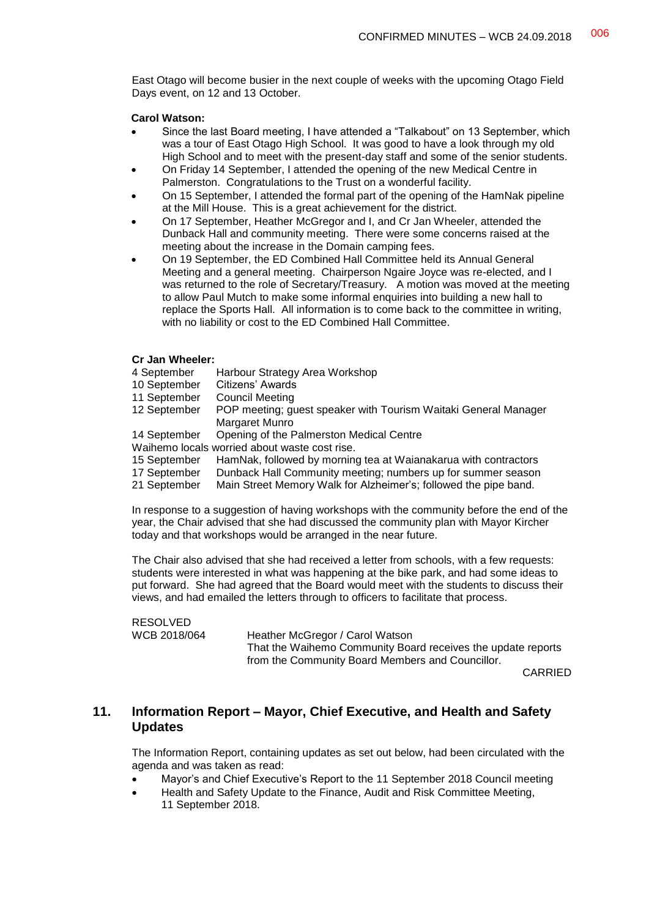East Otago will become busier in the next couple of weeks with the upcoming Otago Field Days event, on 12 and 13 October.

#### **Carol Watson:**

- Since the last Board meeting, I have attended a "Talkabout" on 13 September, which was a tour of East Otago High School. It was good to have a look through my old High School and to meet with the present-day staff and some of the senior students.
- On Friday 14 September, I attended the opening of the new Medical Centre in Palmerston. Congratulations to the Trust on a wonderful facility.
- On 15 September, I attended the formal part of the opening of the HamNak pipeline at the Mill House. This is a great achievement for the district.
- On 17 September, Heather McGregor and I, and Cr Jan Wheeler, attended the Dunback Hall and community meeting. There were some concerns raised at the meeting about the increase in the Domain camping fees.
- On 19 September, the ED Combined Hall Committee held its Annual General Meeting and a general meeting. Chairperson Ngaire Joyce was re-elected, and I was returned to the role of Secretary/Treasury. A motion was moved at the meeting to allow Paul Mutch to make some informal enquiries into building a new hall to replace the Sports Hall. All information is to come back to the committee in writing, with no liability or cost to the ED Combined Hall Committee.

#### **Cr Jan Wheeler:**

| 4 September                                   | Harbour Strategy Area Workshop                                   |  |
|-----------------------------------------------|------------------------------------------------------------------|--|
| 10 September                                  | Citizens' Awards                                                 |  |
| 11 September                                  | <b>Council Meeting</b>                                           |  |
| 12 September                                  | POP meeting; guest speaker with Tourism Waitaki General Manager  |  |
|                                               | Margaret Munro                                                   |  |
| 14 September                                  | Opening of the Palmerston Medical Centre                         |  |
| Waihemo locals worried about waste cost rise. |                                                                  |  |
| 15 September                                  | HamNak, followed by morning tea at Waianakarua with contractors  |  |
| 17 September                                  | Dunback Hall Community meeting; numbers up for summer season     |  |
| 21 September                                  | Main Street Memory Walk for Alzheimer's; followed the pipe band. |  |
|                                               |                                                                  |  |

In response to a suggestion of having workshops with the community before the end of the year, the Chair advised that she had discussed the community plan with Mayor Kircher today and that workshops would be arranged in the near future.

The Chair also advised that she had received a letter from schools, with a few requests: students were interested in what was happening at the bike park, and had some ideas to put forward. She had agreed that the Board would meet with the students to discuss their views, and had emailed the letters through to officers to facilitate that process.

RESOLVED WCB 2018/064 Heather McGregor / Carol Watson That the Waihemo Community Board receives the update reports from the Community Board Members and Councillor.

CARRIED

# **11. Information Report – Mayor, Chief Executive, and Health and Safety Updates**

The Information Report, containing updates as set out below, had been circulated with the agenda and was taken as read:

- Mayor's and Chief Executive's Report to the 11 September 2018 Council meeting
- Health and Safety Update to the Finance, Audit and Risk Committee Meeting, 11 September 2018.